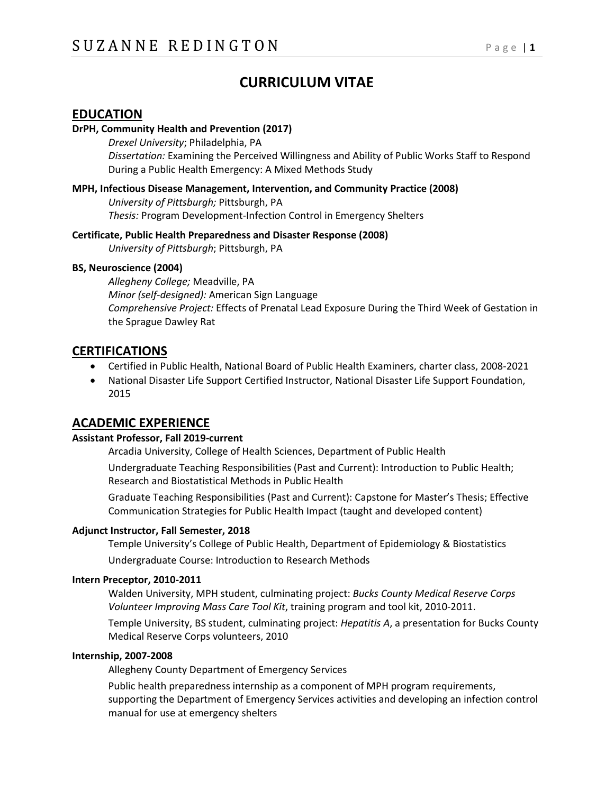# **CURRICULUM VITAE**

## **EDUCATION**

#### **DrPH, Community Health and Prevention (2017)**

*Drexel University*; Philadelphia, PA *Dissertation:* Examining the Perceived Willingness and Ability of Public Works Staff to Respond During a Public Health Emergency: A Mixed Methods Study

#### **MPH, Infectious Disease Management, Intervention, and Community Practice (2008)**

*University of Pittsburgh;* Pittsburgh, PA *Thesis:* Program Development-Infection Control in Emergency Shelters

#### **Certificate, Public Health Preparedness and Disaster Response (2008)**

*University of Pittsburgh*; Pittsburgh, PA

#### **BS, Neuroscience (2004)**

*Allegheny College;* Meadville, PA *Minor (self-designed):* American Sign Language *Comprehensive Project:* Effects of Prenatal Lead Exposure During the Third Week of Gestation in the Sprague Dawley Rat

## **CERTIFICATIONS**

- Certified in Public Health, National Board of Public Health Examiners, charter class, 2008-2021
- National Disaster Life Support Certified Instructor, National Disaster Life Support Foundation, 2015

## **ACADEMIC EXPERIENCE**

#### **Assistant Professor, Fall 2019-current**

Arcadia University, College of Health Sciences, Department of Public Health

Undergraduate Teaching Responsibilities (Past and Current): Introduction to Public Health; Research and Biostatistical Methods in Public Health

Graduate Teaching Responsibilities (Past and Current): Capstone for Master's Thesis; Effective Communication Strategies for Public Health Impact (taught and developed content)

#### **Adjunct Instructor, Fall Semester, 2018**

Temple University's College of Public Health, Department of Epidemiology & Biostatistics

Undergraduate Course: Introduction to Research Methods

#### **Intern Preceptor, 2010-2011**

Walden University, MPH student, culminating project: *Bucks County Medical Reserve Corps Volunteer Improving Mass Care Tool Kit*, training program and tool kit, 2010-2011.

Temple University, BS student, culminating project: *Hepatitis A*, a presentation for Bucks County Medical Reserve Corps volunteers, 2010

#### **Internship, 2007-2008**

Allegheny County Department of Emergency Services

Public health preparedness internship as a component of MPH program requirements, supporting the Department of Emergency Services activities and developing an infection control manual for use at emergency shelters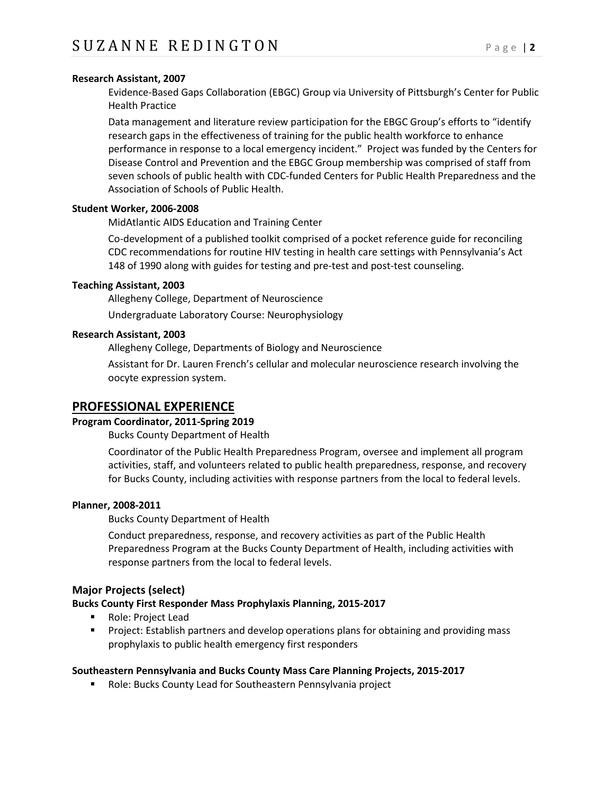#### **Research Assistant, 2007**

Evidence-Based Gaps Collaboration (EBGC) Group via University of Pittsburgh's Center for Public Health Practice

Data management and literature review participation for the EBGC Group's efforts to "identify research gaps in the effectiveness of training for the public health workforce to enhance performance in response to a local emergency incident." Project was funded by the Centers for Disease Control and Prevention and the EBGC Group membership was comprised of staff from seven schools of public health with CDC-funded Centers for Public Health Preparedness and the Association of Schools of Public Health.

#### **Student Worker, 2006-2008**

MidAtlantic AIDS Education and Training Center

Co-development of a published toolkit comprised of a pocket reference guide for reconciling CDC recommendations for routine HIV testing in health care settings with Pennsylvania's Act 148 of 1990 along with guides for testing and pre-test and post-test counseling.

#### **Teaching Assistant, 2003**

Allegheny College, Department of Neuroscience

Undergraduate Laboratory Course: Neurophysiology

#### **Research Assistant, 2003**

Allegheny College, Departments of Biology and Neuroscience

Assistant for Dr. Lauren French's cellular and molecular neuroscience research involving the oocyte expression system.

## **PROFESSIONAL EXPERIENCE**

#### **Program Coordinator, 2011-Spring 2019**

Bucks County Department of Health

Coordinator of the Public Health Preparedness Program, oversee and implement all program activities, staff, and volunteers related to public health preparedness, response, and recovery for Bucks County, including activities with response partners from the local to federal levels.

#### **Planner, 2008-2011**

Bucks County Department of Health

Conduct preparedness, response, and recovery activities as part of the Public Health Preparedness Program at the Bucks County Department of Health, including activities with response partners from the local to federal levels.

#### **Major Projects (select)**

#### **Bucks County First Responder Mass Prophylaxis Planning, 2015-2017**

- Role: Project Lead
- **Project: Establish partners and develop operations plans for obtaining and providing mass** prophylaxis to public health emergency first responders

#### **Southeastern Pennsylvania and Bucks County Mass Care Planning Projects, 2015-2017**

**Role: Bucks County Lead for Southeastern Pennsylvania project**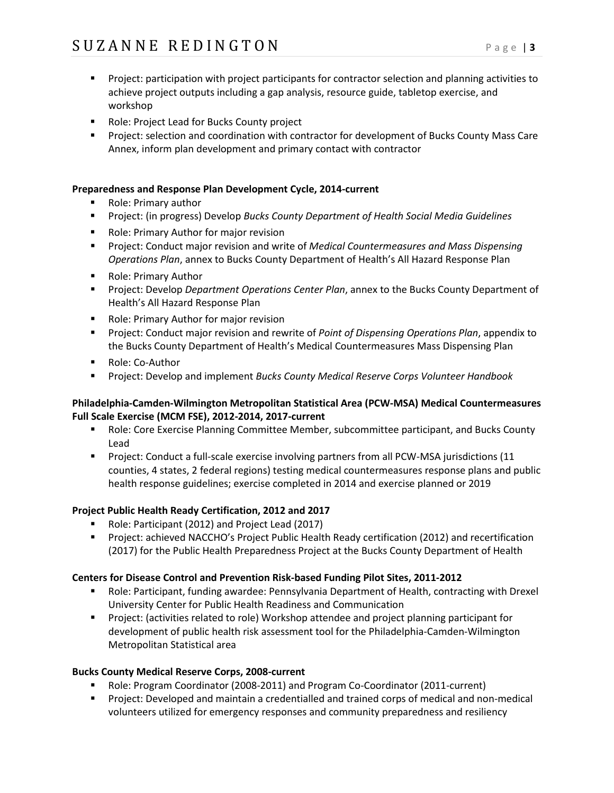- **Project: participation with project participants for contractor selection and planning activities to** achieve project outputs including a gap analysis, resource guide, tabletop exercise, and workshop
- **Role: Project Lead for Bucks County project**
- **Project: selection and coordination with contractor for development of Bucks County Mass Care** Annex, inform plan development and primary contact with contractor

#### **Preparedness and Response Plan Development Cycle, 2014-current**

- **Role: Primary author**
- Project: (in progress) Develop *Bucks County Department of Health Social Media Guidelines*
- **Role: Primary Author for major revision**
- **Project: Conduct major revision and write of** *Medical Countermeasures and Mass Dispensing Operations Plan*, annex to Bucks County Department of Health's All Hazard Response Plan
- **Role: Primary Author**
- Project: Develop *Department Operations Center Plan*, annex to the Bucks County Department of Health's All Hazard Response Plan
- **Role: Primary Author for major revision**
- Project: Conduct major revision and rewrite of *Point of Dispensing Operations Plan*, appendix to the Bucks County Department of Health's Medical Countermeasures Mass Dispensing Plan
- Role: Co-Author
- Project: Develop and implement *Bucks County Medical Reserve Corps Volunteer Handbook*

#### **Philadelphia-Camden-Wilmington Metropolitan Statistical Area (PCW-MSA) Medical Countermeasures Full Scale Exercise (MCM FSE), 2012-2014, 2017-current**

- Role: Core Exercise Planning Committee Member, subcommittee participant, and Bucks County Lead
- Project: Conduct a full-scale exercise involving partners from all PCW-MSA jurisdictions (11 counties, 4 states, 2 federal regions) testing medical countermeasures response plans and public health response guidelines; exercise completed in 2014 and exercise planned or 2019

## **Project Public Health Ready Certification, 2012 and 2017**

- Role: Participant (2012) and Project Lead (2017)
- Project: achieved NACCHO's Project Public Health Ready certification (2012) and recertification (2017) for the Public Health Preparedness Project at the Bucks County Department of Health

## **Centers for Disease Control and Prevention Risk-based Funding Pilot Sites, 2011-2012**

- Role: Participant, funding awardee: Pennsylvania Department of Health, contracting with Drexel University Center for Public Health Readiness and Communication
- Project: (activities related to role) Workshop attendee and project planning participant for development of public health risk assessment tool for the Philadelphia-Camden-Wilmington Metropolitan Statistical area

## **Bucks County Medical Reserve Corps, 2008-current**

- Role: Program Coordinator (2008-2011) and Program Co-Coordinator (2011-current)
- **Project: Developed and maintain a credentialled and trained corps of medical and non-medical** volunteers utilized for emergency responses and community preparedness and resiliency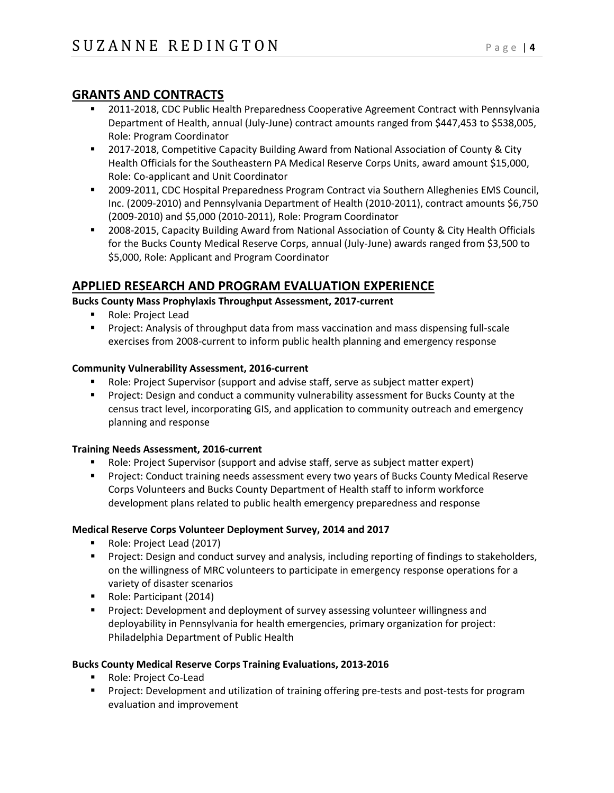# **GRANTS AND CONTRACTS**

- 2011-2018, CDC Public Health Preparedness Cooperative Agreement Contract with Pennsylvania Department of Health, annual (July-June) contract amounts ranged from \$447,453 to \$538,005, Role: Program Coordinator
- 2017-2018, Competitive Capacity Building Award from National Association of County & City Health Officials for the Southeastern PA Medical Reserve Corps Units, award amount \$15,000, Role: Co-applicant and Unit Coordinator
- 2009-2011, CDC Hospital Preparedness Program Contract via Southern Alleghenies EMS Council, Inc. (2009-2010) and Pennsylvania Department of Health (2010-2011), contract amounts \$6,750 (2009-2010) and \$5,000 (2010-2011), Role: Program Coordinator
- 2008-2015, Capacity Building Award from National Association of County & City Health Officials for the Bucks County Medical Reserve Corps, annual (July-June) awards ranged from \$3,500 to \$5,000, Role: Applicant and Program Coordinator

# **APPLIED RESEARCH AND PROGRAM EVALUATION EXPERIENCE**

## **Bucks County Mass Prophylaxis Throughput Assessment, 2017-current**

- Role: Project Lead
- **Project: Analysis of throughput data from mass vaccination and mass dispensing full-scale** exercises from 2008-current to inform public health planning and emergency response

## **Community Vulnerability Assessment, 2016-current**

- Role: Project Supervisor (support and advise staff, serve as subject matter expert)
- **Project: Design and conduct a community vulnerability assessment for Bucks County at the** census tract level, incorporating GIS, and application to community outreach and emergency planning and response

## **Training Needs Assessment, 2016-current**

- Role: Project Supervisor (support and advise staff, serve as subject matter expert)
- **Project: Conduct training needs assessment every two years of Bucks County Medical Reserve** Corps Volunteers and Bucks County Department of Health staff to inform workforce development plans related to public health emergency preparedness and response

## **Medical Reserve Corps Volunteer Deployment Survey, 2014 and 2017**

- Role: Project Lead (2017)
- **Project: Design and conduct survey and analysis, including reporting of findings to stakeholders,** on the willingness of MRC volunteers to participate in emergency response operations for a variety of disaster scenarios
- Role: Participant (2014)
- **Project: Development and deployment of survey assessing volunteer willingness and** deployability in Pennsylvania for health emergencies, primary organization for project: Philadelphia Department of Public Health

## **Bucks County Medical Reserve Corps Training Evaluations, 2013-2016**

- Role: Project Co-Lead
- Project: Development and utilization of training offering pre-tests and post-tests for program evaluation and improvement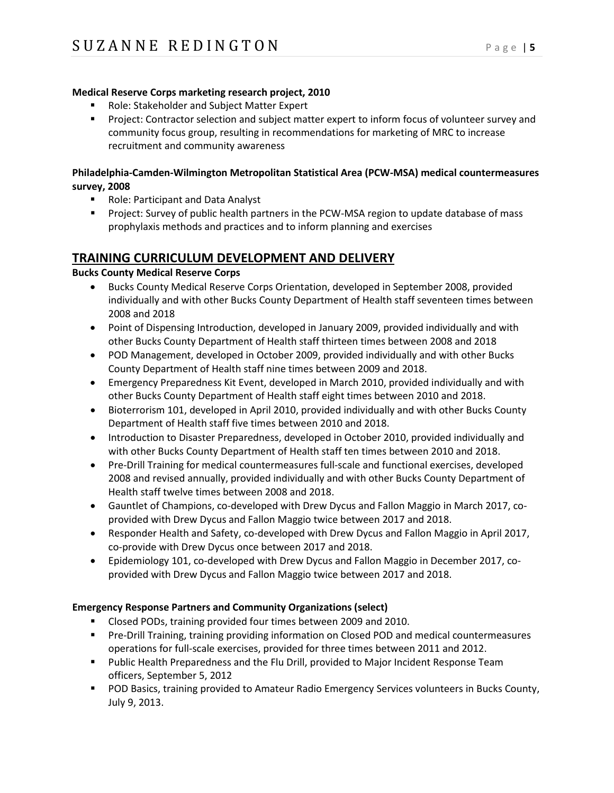#### **Medical Reserve Corps marketing research project, 2010**

- Role: Stakeholder and Subject Matter Expert
- **Project: Contractor selection and subject matter expert to inform focus of volunteer survey and** community focus group, resulting in recommendations for marketing of MRC to increase recruitment and community awareness

## **Philadelphia-Camden-Wilmington Metropolitan Statistical Area (PCW-MSA) medical countermeasures survey, 2008**

- Role: Participant and Data Analyst
- Project: Survey of public health partners in the PCW-MSA region to update database of mass prophylaxis methods and practices and to inform planning and exercises

## **TRAINING CURRICULUM DEVELOPMENT AND DELIVERY**

#### **Bucks County Medical Reserve Corps**

- Bucks County Medical Reserve Corps Orientation, developed in September 2008, provided individually and with other Bucks County Department of Health staff seventeen times between 2008 and 2018
- Point of Dispensing Introduction, developed in January 2009, provided individually and with other Bucks County Department of Health staff thirteen times between 2008 and 2018
- POD Management, developed in October 2009, provided individually and with other Bucks County Department of Health staff nine times between 2009 and 2018.
- Emergency Preparedness Kit Event, developed in March 2010, provided individually and with other Bucks County Department of Health staff eight times between 2010 and 2018.
- Bioterrorism 101, developed in April 2010, provided individually and with other Bucks County Department of Health staff five times between 2010 and 2018.
- Introduction to Disaster Preparedness, developed in October 2010, provided individually and with other Bucks County Department of Health staff ten times between 2010 and 2018.
- Pre-Drill Training for medical countermeasures full-scale and functional exercises, developed 2008 and revised annually, provided individually and with other Bucks County Department of Health staff twelve times between 2008 and 2018.
- Gauntlet of Champions, co-developed with Drew Dycus and Fallon Maggio in March 2017, coprovided with Drew Dycus and Fallon Maggio twice between 2017 and 2018.
- Responder Health and Safety, co-developed with Drew Dycus and Fallon Maggio in April 2017, co-provide with Drew Dycus once between 2017 and 2018.
- Epidemiology 101, co-developed with Drew Dycus and Fallon Maggio in December 2017, coprovided with Drew Dycus and Fallon Maggio twice between 2017 and 2018.

## **Emergency Response Partners and Community Organizations (select)**

- Closed PODs, training provided four times between 2009 and 2010.
- Pre-Drill Training, training providing information on Closed POD and medical countermeasures operations for full-scale exercises, provided for three times between 2011 and 2012.
- **Public Health Preparedness and the Flu Drill, provided to Major Incident Response Team** officers, September 5, 2012
- **POD Basics, training provided to Amateur Radio Emergency Services volunteers in Bucks County,** July 9, 2013.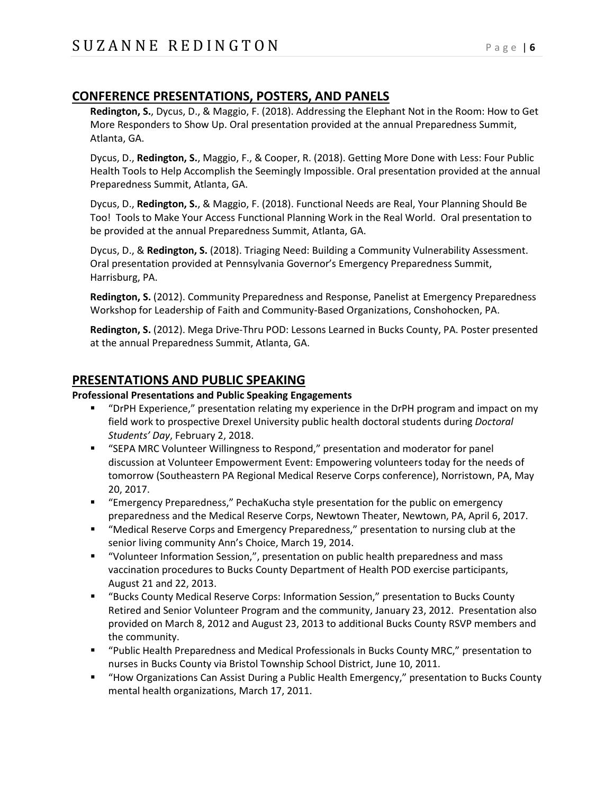# **CONFERENCE PRESENTATIONS, POSTERS, AND PANELS**

**Redington, S.**, Dycus, D., & Maggio, F. (2018). Addressing the Elephant Not in the Room: How to Get More Responders to Show Up. Oral presentation provided at the annual Preparedness Summit, Atlanta, GA.

Dycus, D., **Redington, S.**, Maggio, F., & Cooper, R. (2018). Getting More Done with Less: Four Public Health Tools to Help Accomplish the Seemingly Impossible. Oral presentation provided at the annual Preparedness Summit, Atlanta, GA.

Dycus, D., **Redington, S.**, & Maggio, F. (2018). Functional Needs are Real, Your Planning Should Be Too! Tools to Make Your Access Functional Planning Work in the Real World. Oral presentation to be provided at the annual Preparedness Summit, Atlanta, GA.

Dycus, D., & **Redington, S.** (2018). Triaging Need: Building a Community Vulnerability Assessment. Oral presentation provided at Pennsylvania Governor's Emergency Preparedness Summit, Harrisburg, PA.

**Redington, S.** (2012). Community Preparedness and Response, Panelist at Emergency Preparedness Workshop for Leadership of Faith and Community-Based Organizations, Conshohocken, PA.

**Redington, S.** (2012). Mega Drive-Thru POD: Lessons Learned in Bucks County, PA. Poster presented at the annual Preparedness Summit, Atlanta, GA.

## **PRESENTATIONS AND PUBLIC SPEAKING**

#### **Professional Presentations and Public Speaking Engagements**

- "DrPH Experience," presentation relating my experience in the DrPH program and impact on my field work to prospective Drexel University public health doctoral students during *Doctoral Students' Day*, February 2, 2018.
- "SEPA MRC Volunteer Willingness to Respond," presentation and moderator for panel discussion at Volunteer Empowerment Event: Empowering volunteers today for the needs of tomorrow (Southeastern PA Regional Medical Reserve Corps conference), Norristown, PA, May 20, 2017.
- "Emergency Preparedness," PechaKucha style presentation for the public on emergency preparedness and the Medical Reserve Corps, Newtown Theater, Newtown, PA, April 6, 2017.
- "Medical Reserve Corps and Emergency Preparedness," presentation to nursing club at the senior living community Ann's Choice, March 19, 2014.
- "Volunteer Information Session,", presentation on public health preparedness and mass vaccination procedures to Bucks County Department of Health POD exercise participants, August 21 and 22, 2013.
- "Bucks County Medical Reserve Corps: Information Session," presentation to Bucks County Retired and Senior Volunteer Program and the community, January 23, 2012. Presentation also provided on March 8, 2012 and August 23, 2013 to additional Bucks County RSVP members and the community.
- "Public Health Preparedness and Medical Professionals in Bucks County MRC," presentation to nurses in Bucks County via Bristol Township School District, June 10, 2011.
- "How Organizations Can Assist During a Public Health Emergency," presentation to Bucks County mental health organizations, March 17, 2011.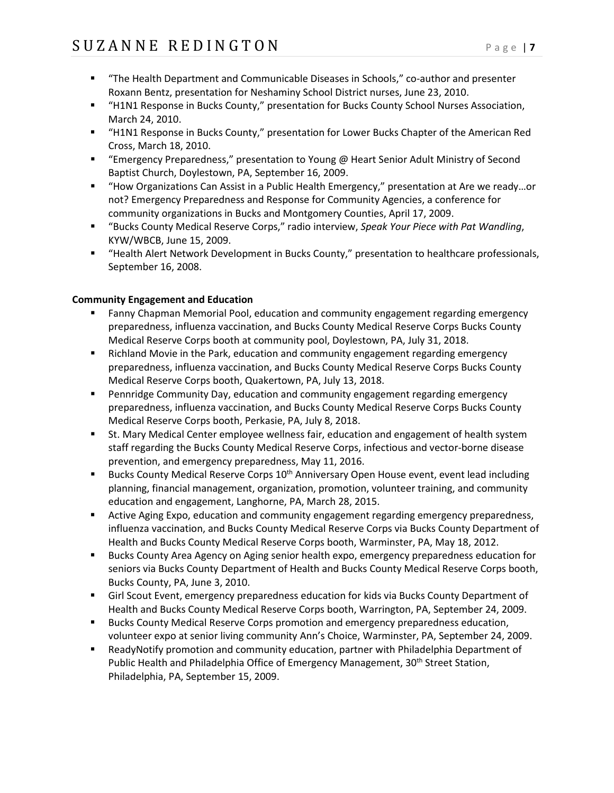- "The Health Department and Communicable Diseases in Schools," co-author and presenter Roxann Bentz, presentation for Neshaminy School District nurses, June 23, 2010.
- "H1N1 Response in Bucks County," presentation for Bucks County School Nurses Association, March 24, 2010.
- "H1N1 Response in Bucks County," presentation for Lower Bucks Chapter of the American Red Cross, March 18, 2010.
- "Emergency Preparedness," presentation to Young @ Heart Senior Adult Ministry of Second Baptist Church, Doylestown, PA, September 16, 2009.
- "How Organizations Can Assist in a Public Health Emergency," presentation at Are we ready...or not? Emergency Preparedness and Response for Community Agencies, a conference for community organizations in Bucks and Montgomery Counties, April 17, 2009.
- "Bucks County Medical Reserve Corps," radio interview, *Speak Your Piece with Pat Wandling*, KYW/WBCB, June 15, 2009.
- "Health Alert Network Development in Bucks County," presentation to healthcare professionals, September 16, 2008.

#### **Community Engagement and Education**

- Fanny Chapman Memorial Pool, education and community engagement regarding emergency preparedness, influenza vaccination, and Bucks County Medical Reserve Corps Bucks County Medical Reserve Corps booth at community pool, Doylestown, PA, July 31, 2018.
- **EXECT** Richland Movie in the Park, education and community engagement regarding emergency preparedness, influenza vaccination, and Bucks County Medical Reserve Corps Bucks County Medical Reserve Corps booth, Quakertown, PA, July 13, 2018.
- Pennridge Community Day, education and community engagement regarding emergency preparedness, influenza vaccination, and Bucks County Medical Reserve Corps Bucks County Medical Reserve Corps booth, Perkasie, PA, July 8, 2018.
- **St. Mary Medical Center employee wellness fair, education and engagement of health system** staff regarding the Bucks County Medical Reserve Corps, infectious and vector-borne disease prevention, and emergency preparedness, May 11, 2016.
- Bucks County Medical Reserve Corps 10<sup>th</sup> Anniversary Open House event, event lead including planning, financial management, organization, promotion, volunteer training, and community education and engagement, Langhorne, PA, March 28, 2015.
- **EXTENG** Aging Expo, education and community engagement regarding emergency preparedness, influenza vaccination, and Bucks County Medical Reserve Corps via Bucks County Department of Health and Bucks County Medical Reserve Corps booth, Warminster, PA, May 18, 2012.
- Bucks County Area Agency on Aging senior health expo, emergency preparedness education for seniors via Bucks County Department of Health and Bucks County Medical Reserve Corps booth, Bucks County, PA, June 3, 2010.
- Girl Scout Event, emergency preparedness education for kids via Bucks County Department of Health and Bucks County Medical Reserve Corps booth, Warrington, PA, September 24, 2009.
- Bucks County Medical Reserve Corps promotion and emergency preparedness education, volunteer expo at senior living community Ann's Choice, Warminster, PA, September 24, 2009.
- ReadyNotify promotion and community education, partner with Philadelphia Department of Public Health and Philadelphia Office of Emergency Management, 30<sup>th</sup> Street Station, Philadelphia, PA, September 15, 2009.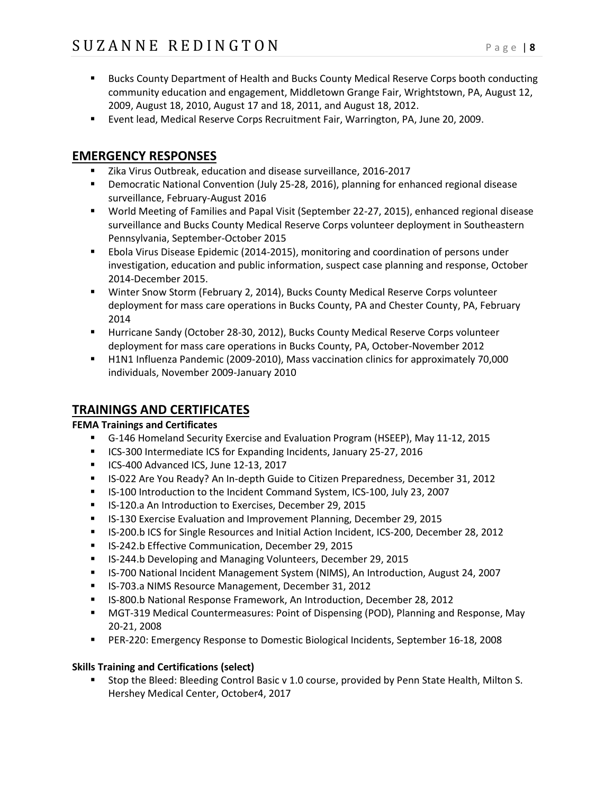- **Bucks County Department of Health and Bucks County Medical Reserve Corps booth conducting** community education and engagement, Middletown Grange Fair, Wrightstown, PA, August 12, 2009, August 18, 2010, August 17 and 18, 2011, and August 18, 2012.
- Event lead, Medical Reserve Corps Recruitment Fair, Warrington, PA, June 20, 2009.

# **EMERGENCY RESPONSES**

- **E** Zika Virus Outbreak, education and disease surveillance, 2016-2017
- Democratic National Convention (July 25-28, 2016), planning for enhanced regional disease surveillance, February-August 2016
- World Meeting of Families and Papal Visit (September 22-27, 2015), enhanced regional disease surveillance and Bucks County Medical Reserve Corps volunteer deployment in Southeastern Pennsylvania, September-October 2015
- Ebola Virus Disease Epidemic (2014-2015), monitoring and coordination of persons under investigation, education and public information, suspect case planning and response, October 2014-December 2015.
- Winter Snow Storm (February 2, 2014), Bucks County Medical Reserve Corps volunteer deployment for mass care operations in Bucks County, PA and Chester County, PA, February 2014
- Hurricane Sandy (October 28-30, 2012), Bucks County Medical Reserve Corps volunteer deployment for mass care operations in Bucks County, PA, October-November 2012
- H1N1 Influenza Pandemic (2009-2010), Mass vaccination clinics for approximately 70,000 individuals, November 2009-January 2010

# **TRAININGS AND CERTIFICATES**

## **FEMA Trainings and Certificates**

- G-146 Homeland Security Exercise and Evaluation Program (HSEEP), May 11-12, 2015
- **ICS-300 Intermediate ICS for Expanding Incidents, January 25-27, 2016**
- ICS-400 Advanced ICS, June 12-13, 2017
- **IS-022 Are You Ready? An In-depth Guide to Citizen Preparedness, December 31, 2012**
- IS-100 Introduction to the Incident Command System, ICS-100, July 23, 2007
- IS-120.a An Introduction to Exercises, December 29, 2015
- IS-130 Exercise Evaluation and Improvement Planning, December 29, 2015
- **IS-200.b ICS for Single Resources and Initial Action Incident, ICS-200, December 28, 2012**
- IS-242.b Effective Communication, December 29, 2015
- IS-244.b Developing and Managing Volunteers, December 29, 2015
- IS-700 National Incident Management System (NIMS), An Introduction, August 24, 2007
- IS-703.a NIMS Resource Management, December 31, 2012
- **EXEL SEA00.b National Response Framework, An Introduction, December 28, 2012**
- MGT-319 Medical Countermeasures: Point of Dispensing (POD), Planning and Response, May 20-21, 2008
- PER-220: Emergency Response to Domestic Biological Incidents, September 16-18, 2008

## **Skills Training and Certifications (select)**

 Stop the Bleed: Bleeding Control Basic v 1.0 course, provided by Penn State Health, Milton S. Hershey Medical Center, October4, 2017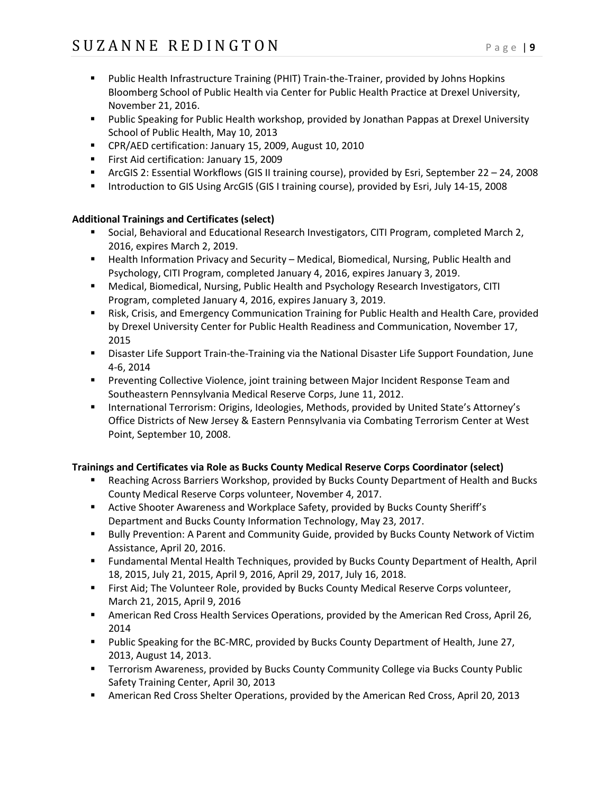- **Public Health Infrastructure Training (PHIT) Train-the-Trainer, provided by Johns Hopkins** Bloomberg School of Public Health via Center for Public Health Practice at Drexel University, November 21, 2016.
- **Public Speaking for Public Health workshop, provided by Jonathan Pappas at Drexel University** School of Public Health, May 10, 2013
- CPR/AED certification: January 15, 2009, August 10, 2010
- First Aid certification: January 15, 2009
- ArcGIS 2: Essential Workflows (GIS II training course), provided by Esri, September 22 24, 2008
- Introduction to GIS Using ArcGIS (GIS I training course), provided by Esri, July 14-15, 2008

## **Additional Trainings and Certificates (select)**

- **Social, Behavioral and Educational Research Investigators, CITI Program, completed March 2,** 2016, expires March 2, 2019.
- **Health Information Privacy and Security Medical, Biomedical, Nursing, Public Health and** Psychology, CITI Program, completed January 4, 2016, expires January 3, 2019.
- Medical, Biomedical, Nursing, Public Health and Psychology Research Investigators, CITI Program, completed January 4, 2016, expires January 3, 2019.
- **EXEL A. S.** Crisis, and Emergency Communication Training for Public Health and Health Care, provided by Drexel University Center for Public Health Readiness and Communication, November 17, 2015
- Disaster Life Support Train-the-Training via the National Disaster Life Support Foundation, June 4-6, 2014
- **Preventing Collective Violence, joint training between Major Incident Response Team and** Southeastern Pennsylvania Medical Reserve Corps, June 11, 2012.
- **International Terrorism: Origins, Ideologies, Methods, provided by United State's Attorney's** Office Districts of New Jersey & Eastern Pennsylvania via Combating Terrorism Center at West Point, September 10, 2008.

## **Trainings and Certificates via Role as Bucks County Medical Reserve Corps Coordinator (select)**

- Reaching Across Barriers Workshop, provided by Bucks County Department of Health and Bucks County Medical Reserve Corps volunteer, November 4, 2017.
- Active Shooter Awareness and Workplace Safety, provided by Bucks County Sheriff's Department and Bucks County Information Technology, May 23, 2017.
- **Bully Prevention: A Parent and Community Guide, provided by Bucks County Network of Victim** Assistance, April 20, 2016.
- Fundamental Mental Health Techniques, provided by Bucks County Department of Health, April 18, 2015, July 21, 2015, April 9, 2016, April 29, 2017, July 16, 2018.
- **First Aid; The Volunteer Role, provided by Bucks County Medical Reserve Corps volunteer,** March 21, 2015, April 9, 2016
- American Red Cross Health Services Operations, provided by the American Red Cross, April 26, 2014
- **Public Speaking for the BC-MRC, provided by Bucks County Department of Health, June 27,** 2013, August 14, 2013.
- Terrorism Awareness, provided by Bucks County Community College via Bucks County Public Safety Training Center, April 30, 2013
- American Red Cross Shelter Operations, provided by the American Red Cross, April 20, 2013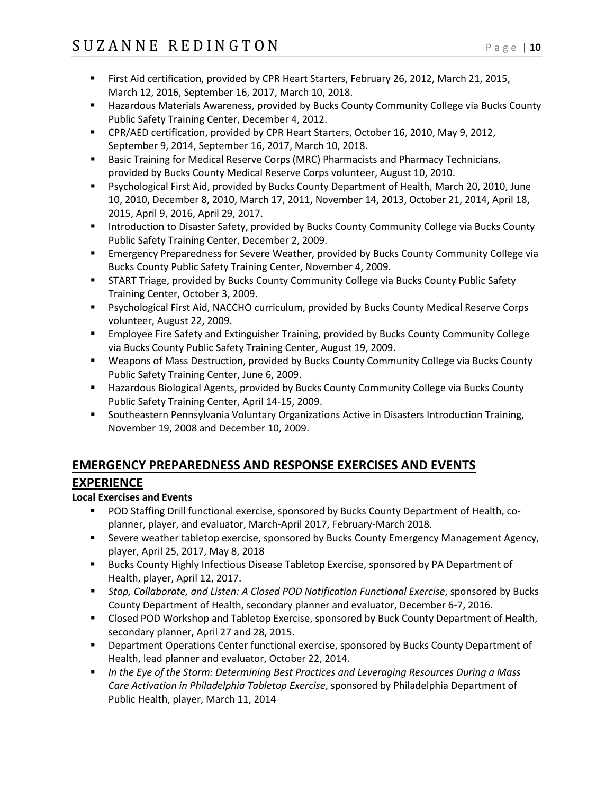- First Aid certification, provided by CPR Heart Starters, February 26, 2012, March 21, 2015, March 12, 2016, September 16, 2017, March 10, 2018.
- **Hazardous Materials Awareness, provided by Bucks County Community College via Bucks County** Public Safety Training Center, December 4, 2012.
- CPR/AED certification, provided by CPR Heart Starters, October 16, 2010, May 9, 2012, September 9, 2014, September 16, 2017, March 10, 2018.
- **Basic Training for Medical Reserve Corps (MRC) Pharmacists and Pharmacy Technicians,** provided by Bucks County Medical Reserve Corps volunteer, August 10, 2010.
- Psychological First Aid, provided by Bucks County Department of Health, March 20, 2010, June 10, 2010, December 8, 2010, March 17, 2011, November 14, 2013, October 21, 2014, April 18, 2015, April 9, 2016, April 29, 2017.
- **Introduction to Disaster Safety, provided by Bucks County Community College via Bucks County** Public Safety Training Center, December 2, 2009.
- **Emergency Preparedness for Severe Weather, provided by Bucks County Community College via** Bucks County Public Safety Training Center, November 4, 2009.
- **START Triage, provided by Bucks County Community College via Bucks County Public Safety** Training Center, October 3, 2009.
- Psychological First Aid, NACCHO curriculum, provided by Bucks County Medical Reserve Corps volunteer, August 22, 2009.
- Employee Fire Safety and Extinguisher Training, provided by Bucks County Community College via Bucks County Public Safety Training Center, August 19, 2009.
- Weapons of Mass Destruction, provided by Bucks County Community College via Bucks County Public Safety Training Center, June 6, 2009.
- Hazardous Biological Agents, provided by Bucks County Community College via Bucks County Public Safety Training Center, April 14-15, 2009.
- **Southeastern Pennsylvania Voluntary Organizations Active in Disasters Introduction Training,** November 19, 2008 and December 10, 2009.

# **EMERGENCY PREPAREDNESS AND RESPONSE EXERCISES AND EVENTS EXPERIENCE**

## **Local Exercises and Events**

- POD Staffing Drill functional exercise, sponsored by Bucks County Department of Health, coplanner, player, and evaluator, March-April 2017, February-March 2018.
- Severe weather tabletop exercise, sponsored by Bucks County Emergency Management Agency, player, April 25, 2017, May 8, 2018
- **Bucks County Highly Infectious Disease Tabletop Exercise, sponsored by PA Department of** Health, player, April 12, 2017.
- *Stop, Collaborate, and Listen: A Closed POD Notification Functional Exercise*, sponsored by Bucks County Department of Health, secondary planner and evaluator, December 6-7, 2016.
- Closed POD Workshop and Tabletop Exercise, sponsored by Buck County Department of Health, secondary planner, April 27 and 28, 2015.
- Department Operations Center functional exercise, sponsored by Bucks County Department of Health, lead planner and evaluator, October 22, 2014.
- *In the Eye of the Storm: Determining Best Practices and Leveraging Resources During a Mass Care Activation in Philadelphia Tabletop Exercise*, sponsored by Philadelphia Department of Public Health, player, March 11, 2014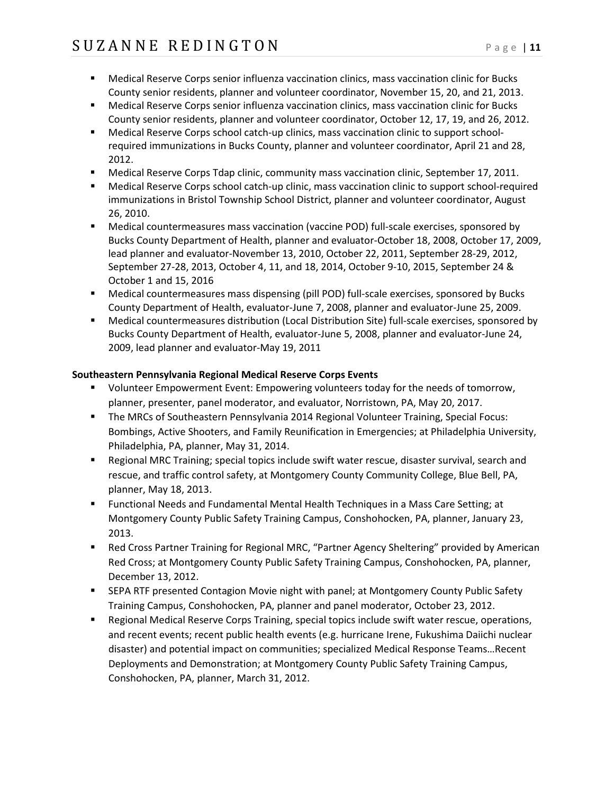- Medical Reserve Corps senior influenza vaccination clinics, mass vaccination clinic for Bucks County senior residents, planner and volunteer coordinator, November 15, 20, and 21, 2013.
- Medical Reserve Corps senior influenza vaccination clinics, mass vaccination clinic for Bucks County senior residents, planner and volunteer coordinator, October 12, 17, 19, and 26, 2012.
- Medical Reserve Corps school catch-up clinics, mass vaccination clinic to support schoolrequired immunizations in Bucks County, planner and volunteer coordinator, April 21 and 28, 2012.
- **Medical Reserve Corps Tdap clinic, community mass vaccination clinic, September 17, 2011.**
- Medical Reserve Corps school catch-up clinic, mass vaccination clinic to support school-required immunizations in Bristol Township School District, planner and volunteer coordinator, August 26, 2010.
- Medical countermeasures mass vaccination (vaccine POD) full-scale exercises, sponsored by Bucks County Department of Health, planner and evaluator-October 18, 2008, October 17, 2009, lead planner and evaluator-November 13, 2010, October 22, 2011, September 28-29, 2012, September 27-28, 2013, October 4, 11, and 18, 2014, October 9-10, 2015, September 24 & October 1 and 15, 2016
- Medical countermeasures mass dispensing (pill POD) full-scale exercises, sponsored by Bucks County Department of Health, evaluator-June 7, 2008, planner and evaluator-June 25, 2009.
- Medical countermeasures distribution (Local Distribution Site) full-scale exercises, sponsored by Bucks County Department of Health, evaluator-June 5, 2008, planner and evaluator-June 24, 2009, lead planner and evaluator-May 19, 2011

## **Southeastern Pennsylvania Regional Medical Reserve Corps Events**

- Volunteer Empowerment Event: Empowering volunteers today for the needs of tomorrow, planner, presenter, panel moderator, and evaluator, Norristown, PA, May 20, 2017.
- The MRCs of Southeastern Pennsylvania 2014 Regional Volunteer Training, Special Focus: Bombings, Active Shooters, and Family Reunification in Emergencies; at Philadelphia University, Philadelphia, PA, planner, May 31, 2014.
- **Regional MRC Training; special topics include swift water rescue, disaster survival, search and** rescue, and traffic control safety, at Montgomery County Community College, Blue Bell, PA, planner, May 18, 2013.
- Functional Needs and Fundamental Mental Health Techniques in a Mass Care Setting; at Montgomery County Public Safety Training Campus, Conshohocken, PA, planner, January 23, 2013.
- Red Cross Partner Training for Regional MRC, "Partner Agency Sheltering" provided by American Red Cross; at Montgomery County Public Safety Training Campus, Conshohocken, PA, planner, December 13, 2012.
- SEPA RTF presented Contagion Movie night with panel; at Montgomery County Public Safety Training Campus, Conshohocken, PA, planner and panel moderator, October 23, 2012.
- Regional Medical Reserve Corps Training, special topics include swift water rescue, operations, and recent events; recent public health events (e.g. hurricane Irene, Fukushima Daiichi nuclear disaster) and potential impact on communities; specialized Medical Response Teams…Recent Deployments and Demonstration; at Montgomery County Public Safety Training Campus, Conshohocken, PA, planner, March 31, 2012.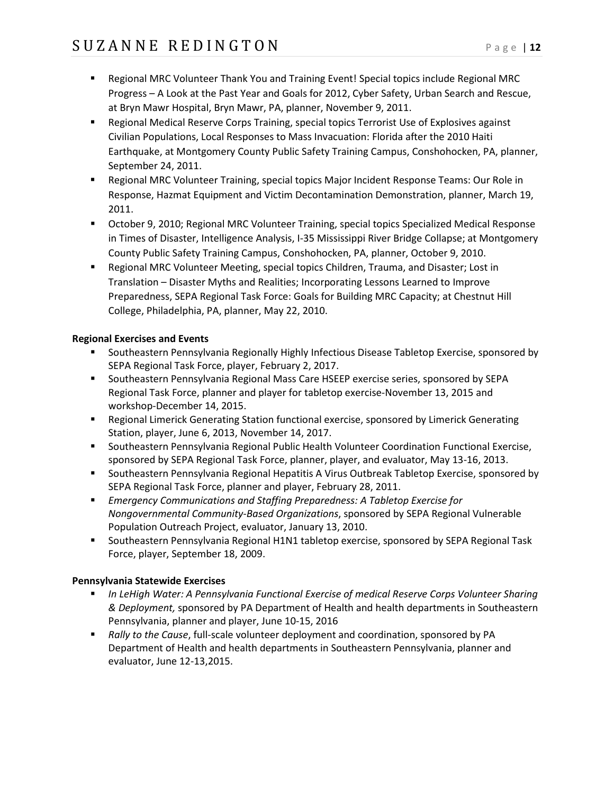- Regional MRC Volunteer Thank You and Training Event! Special topics include Regional MRC Progress – A Look at the Past Year and Goals for 2012, Cyber Safety, Urban Search and Rescue, at Bryn Mawr Hospital, Bryn Mawr, PA, planner, November 9, 2011.
- Regional Medical Reserve Corps Training, special topics Terrorist Use of Explosives against Civilian Populations, Local Responses to Mass Invacuation: Florida after the 2010 Haiti Earthquake, at Montgomery County Public Safety Training Campus, Conshohocken, PA, planner, September 24, 2011.
- Regional MRC Volunteer Training, special topics Major Incident Response Teams: Our Role in Response, Hazmat Equipment and Victim Decontamination Demonstration, planner, March 19, 2011.
- October 9, 2010; Regional MRC Volunteer Training, special topics Specialized Medical Response in Times of Disaster, Intelligence Analysis, I-35 Mississippi River Bridge Collapse; at Montgomery County Public Safety Training Campus, Conshohocken, PA, planner, October 9, 2010.
- Regional MRC Volunteer Meeting, special topics Children, Trauma, and Disaster; Lost in Translation – Disaster Myths and Realities; Incorporating Lessons Learned to Improve Preparedness, SEPA Regional Task Force: Goals for Building MRC Capacity; at Chestnut Hill College, Philadelphia, PA, planner, May 22, 2010.

#### **Regional Exercises and Events**

- **Southeastern Pennsylvania Regionally Highly Infectious Disease Tabletop Exercise, sponsored by** SEPA Regional Task Force, player, February 2, 2017.
- **Southeastern Pennsylvania Regional Mass Care HSEEP exercise series, sponsored by SEPA** Regional Task Force, planner and player for tabletop exercise-November 13, 2015 and workshop-December 14, 2015.
- Regional Limerick Generating Station functional exercise, sponsored by Limerick Generating Station, player, June 6, 2013, November 14, 2017.
- Southeastern Pennsylvania Regional Public Health Volunteer Coordination Functional Exercise, sponsored by SEPA Regional Task Force, planner, player, and evaluator, May 13-16, 2013.
- **Southeastern Pennsylvania Regional Hepatitis A Virus Outbreak Tabletop Exercise, sponsored by** SEPA Regional Task Force, planner and player, February 28, 2011.
- *Emergency Communications and Staffing Preparedness: A Tabletop Exercise for Nongovernmental Community-Based Organizations*, sponsored by SEPA Regional Vulnerable Population Outreach Project, evaluator, January 13, 2010.
- Southeastern Pennsylvania Regional H1N1 tabletop exercise, sponsored by SEPA Regional Task Force, player, September 18, 2009.

#### **Pennsylvania Statewide Exercises**

- *In LeHigh Water: A Pennsylvania Functional Exercise of medical Reserve Corps Volunteer Sharing & Deployment,* sponsored by PA Department of Health and health departments in Southeastern Pennsylvania, planner and player, June 10-15, 2016
- *Rally to the Cause*, full-scale volunteer deployment and coordination, sponsored by PA Department of Health and health departments in Southeastern Pennsylvania, planner and evaluator, June 12-13,2015.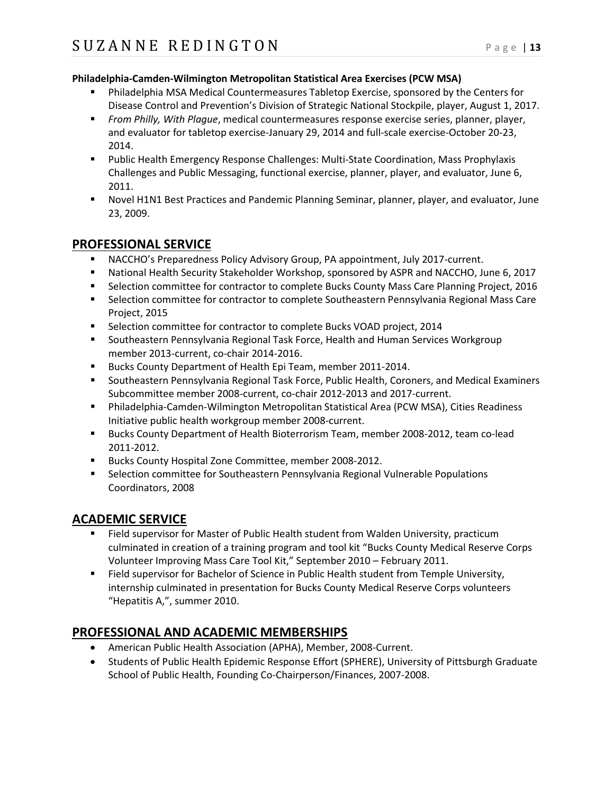#### **Philadelphia-Camden-Wilmington Metropolitan Statistical Area Exercises (PCW MSA)**

- Philadelphia MSA Medical Countermeasures Tabletop Exercise, sponsored by the Centers for Disease Control and Prevention's Division of Strategic National Stockpile, player, August 1, 2017.
- *From Philly, With Plague*, medical countermeasures response exercise series, planner, player, and evaluator for tabletop exercise-January 29, 2014 and full-scale exercise-October 20-23, 2014.
- **Public Health Emergency Response Challenges: Multi-State Coordination, Mass Prophylaxis** Challenges and Public Messaging, functional exercise, planner, player, and evaluator, June 6, 2011.
- Novel H1N1 Best Practices and Pandemic Planning Seminar, planner, player, and evaluator, June 23, 2009.

## **PROFESSIONAL SERVICE**

- NACCHO's Preparedness Policy Advisory Group, PA appointment, July 2017-current.
- National Health Security Stakeholder Workshop, sponsored by ASPR and NACCHO, June 6, 2017
- **Selection committee for contractor to complete Bucks County Mass Care Planning Project, 2016**
- **Selection committee for contractor to complete Southeastern Pennsylvania Regional Mass Care** Project, 2015
- Selection committee for contractor to complete Bucks VOAD project, 2014
- **Southeastern Pennsylvania Regional Task Force, Health and Human Services Workgroup** member 2013-current, co-chair 2014-2016.
- Bucks County Department of Health Epi Team, member 2011-2014.
- **Southeastern Pennsylvania Regional Task Force, Public Health, Coroners, and Medical Examiners** Subcommittee member 2008-current, co-chair 2012-2013 and 2017-current.
- Philadelphia-Camden-Wilmington Metropolitan Statistical Area (PCW MSA), Cities Readiness Initiative public health workgroup member 2008-current.
- Bucks County Department of Health Bioterrorism Team, member 2008-2012, team co-lead 2011-2012.
- Bucks County Hospital Zone Committee, member 2008-2012.
- **Selection committee for Southeastern Pennsylvania Regional Vulnerable Populations** Coordinators, 2008

# **ACADEMIC SERVICE**

- Field supervisor for Master of Public Health student from Walden University, practicum culminated in creation of a training program and tool kit "Bucks County Medical Reserve Corps Volunteer Improving Mass Care Tool Kit," September 2010 – February 2011.
- Field supervisor for Bachelor of Science in Public Health student from Temple University, internship culminated in presentation for Bucks County Medical Reserve Corps volunteers "Hepatitis A,", summer 2010.

# **PROFESSIONAL AND ACADEMIC MEMBERSHIPS**

- American Public Health Association (APHA), Member, 2008-Current.
- Students of Public Health Epidemic Response Effort (SPHERE), University of Pittsburgh Graduate School of Public Health, Founding Co-Chairperson/Finances, 2007-2008.